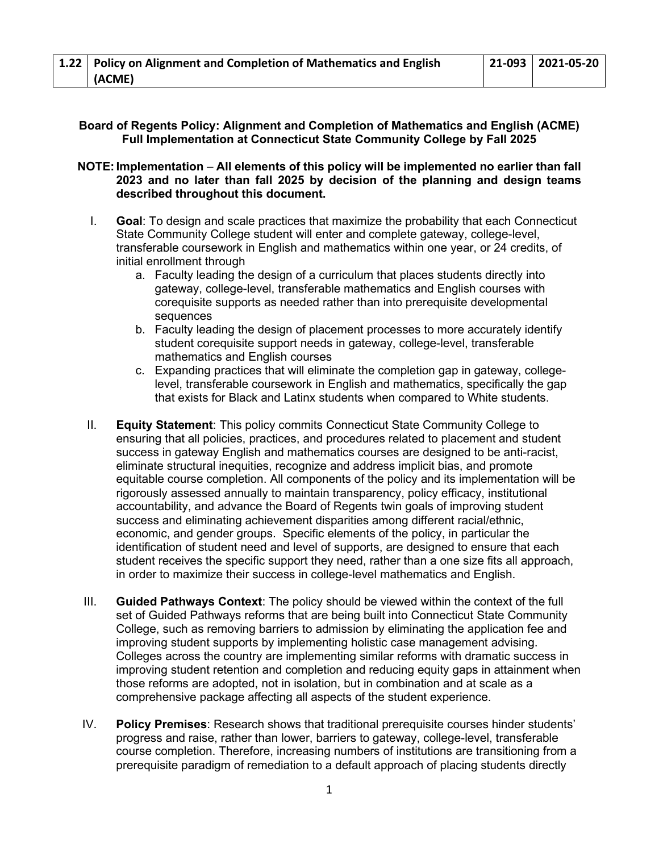# **Board of Regents Policy: Alignment and Completion of Mathematics and English (ACME) Full Implementation at Connecticut State Community College by Fall 2025**

### **NOTE:Implementation** – **All elements of this policy will be implemented no earlier than fall 2023 and no later than fall 2025 by decision of the planning and design teams described throughout this document.**

- I. **Goal**: To design and scale practices that maximize the probability that each Connecticut State Community College student will enter and complete gateway, college-level, transferable coursework in English and mathematics within one year, or 24 credits, of initial enrollment through
	- a. Faculty leading the design of a curriculum that places students directly into gateway, college-level, transferable mathematics and English courses with corequisite supports as needed rather than into prerequisite developmental sequences
	- b. Faculty leading the design of placement processes to more accurately identify student corequisite support needs in gateway, college-level, transferable mathematics and English courses
	- c. Expanding practices that will eliminate the completion gap in gateway, collegelevel, transferable coursework in English and mathematics, specifically the gap that exists for Black and Latinx students when compared to White students.
- II. **Equity Statement**: This policy commits Connecticut State Community College to ensuring that all policies, practices, and procedures related to placement and student success in gateway English and mathematics courses are designed to be anti-racist, eliminate structural inequities, recognize and address implicit bias, and promote equitable course completion. All components of the policy and its implementation will be rigorously assessed annually to maintain transparency, policy efficacy, institutional accountability, and advance the Board of Regents twin goals of improving student success and eliminating achievement disparities among different racial/ethnic, economic, and gender groups. Specific elements of the policy, in particular the identification of student need and level of supports, are designed to ensure that each student receives the specific support they need, rather than a one size fits all approach, in order to maximize their success in college-level mathematics and English.
- III. **Guided Pathways Context**: The policy should be viewed within the context of the full set of Guided Pathways reforms that are being built into Connecticut State Community College, such as removing barriers to admission by eliminating the application fee and improving student supports by implementing holistic case management advising. Colleges across the country are implementing similar reforms with dramatic success in improving student retention and completion and reducing equity gaps in attainment when those reforms are adopted, not in isolation, but in combination and at scale as a comprehensive package affecting all aspects of the student experience.
- IV. **Policy Premises**: Research shows that traditional prerequisite courses hinder students' progress and raise, rather than lower, barriers to gateway, college-level, transferable course completion. Therefore, increasing numbers of institutions are transitioning from a prerequisite paradigm of remediation to a default approach of placing students directly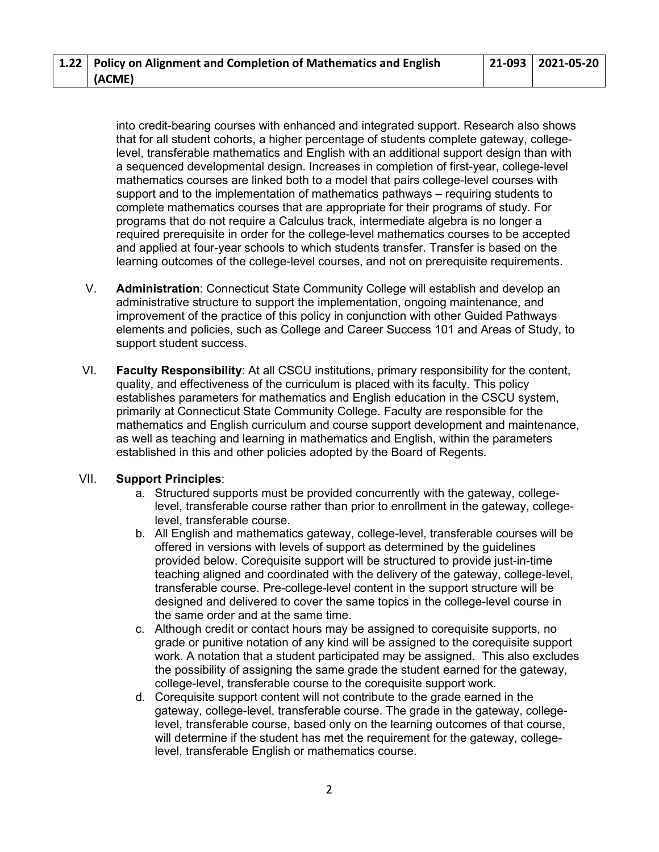| 1.22   Policy on Alignment and Completion of Mathematics and English | $ 21-093 2021-05-20$ |
|----------------------------------------------------------------------|----------------------|
| (ACME)                                                               |                      |

into credit-bearing courses with enhanced and integrated support. Research also shows that for all student cohorts, a higher percentage of students complete gateway, collegelevel, transferable mathematics and English with an additional support design than with a sequenced developmental design. Increases in completion of first-year, college-level mathematics courses are linked both to a model that pairs college-level courses with support and to the implementation of mathematics pathways – requiring students to complete mathematics courses that are appropriate for their programs of study. For programs that do not require a Calculus track, intermediate algebra is no longer a required prerequisite in order for the college-level mathematics courses to be accepted and applied at four-year schools to which students transfer. Transfer is based on the learning outcomes of the college-level courses, and not on prerequisite requirements.

- V. **Administration**: Connecticut State Community College will establish and develop an administrative structure to support the implementation, ongoing maintenance, and improvement of the practice of this policy in conjunction with other Guided Pathways elements and policies, such as College and Career Success 101 and Areas of Study, to support student success.
- VI. **Faculty Responsibility**: At all CSCU institutions, primary responsibility for the content, quality, and effectiveness of the curriculum is placed with its faculty. This policy establishes parameters for mathematics and English education in the CSCU system, primarily at Connecticut State Community College. Faculty are responsible for the mathematics and English curriculum and course support development and maintenance, as well as teaching and learning in mathematics and English, within the parameters established in this and other policies adopted by the Board of Regents.

#### VII. **Support Principles**:

- a. Structured supports must be provided concurrently with the gateway, collegelevel, transferable course rather than prior to enrollment in the gateway, collegelevel, transferable course.
- b. All English and mathematics gateway, college-level, transferable courses will be offered in versions with levels of support as determined by the guidelines provided below. Corequisite support will be structured to provide just-in-time teaching aligned and coordinated with the delivery of the gateway, college-level, transferable course. Pre-college-level content in the support structure will be designed and delivered to cover the same topics in the college-level course in the same order and at the same time.
- c. Although credit or contact hours may be assigned to corequisite supports, no grade or punitive notation of any kind will be assigned to the corequisite support work. A notation that a student participated may be assigned. This also excludes the possibility of assigning the same grade the student earned for the gateway, college-level, transferable course to the corequisite support work.
- d. Corequisite support content will not contribute to the grade earned in the gateway, college-level, transferable course. The grade in the gateway, collegelevel, transferable course, based only on the learning outcomes of that course, will determine if the student has met the requirement for the gateway, collegelevel, transferable English or mathematics course.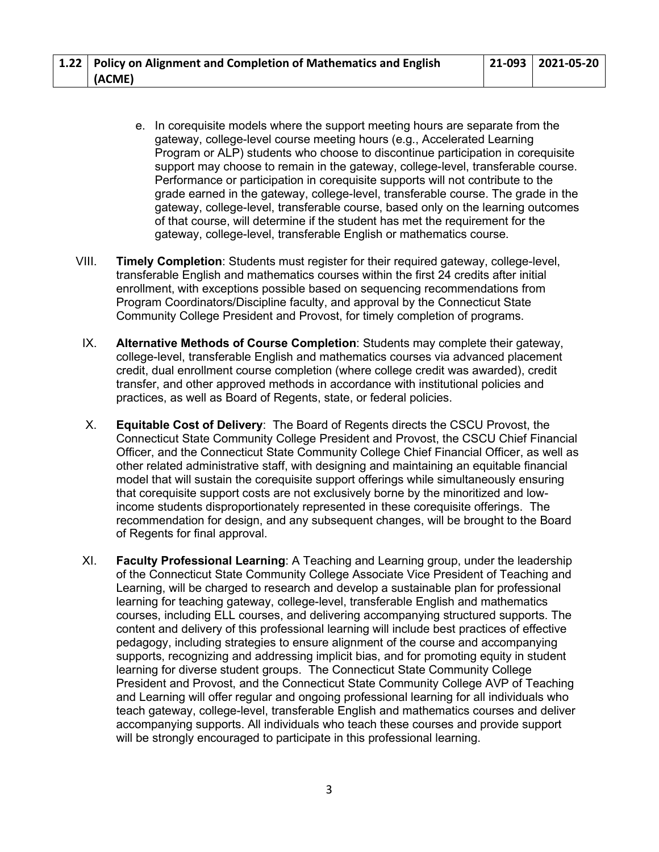| 1.22   Policy on Alignment and Completion of Mathematics and English | $ 21-093 2021-05-20$ |
|----------------------------------------------------------------------|----------------------|
| (ACME)                                                               |                      |

- e. In corequisite models where the support meeting hours are separate from the gateway, college-level course meeting hours (e.g., Accelerated Learning Program or ALP) students who choose to discontinue participation in corequisite support may choose to remain in the gateway, college-level, transferable course. Performance or participation in corequisite supports will not contribute to the grade earned in the gateway, college-level, transferable course. The grade in the gateway, college-level, transferable course, based only on the learning outcomes of that course, will determine if the student has met the requirement for the gateway, college-level, transferable English or mathematics course.
- VIII. **Timely Completion**: Students must register for their required gateway, college-level, transferable English and mathematics courses within the first 24 credits after initial enrollment, with exceptions possible based on sequencing recommendations from Program Coordinators/Discipline faculty, and approval by the Connecticut State Community College President and Provost, for timely completion of programs.
- IX. **Alternative Methods of Course Completion**: Students may complete their gateway, college-level, transferable English and mathematics courses via advanced placement credit, dual enrollment course completion (where college credit was awarded), credit transfer, and other approved methods in accordance with institutional policies and practices, as well as Board of Regents, state, or federal policies.
- X. **Equitable Cost of Delivery**: The Board of Regents directs the CSCU Provost, the Connecticut State Community College President and Provost, the CSCU Chief Financial Officer, and the Connecticut State Community College Chief Financial Officer, as well as other related administrative staff, with designing and maintaining an equitable financial model that will sustain the corequisite support offerings while simultaneously ensuring that corequisite support costs are not exclusively borne by the minoritized and lowincome students disproportionately represented in these corequisite offerings. The recommendation for design, and any subsequent changes, will be brought to the Board of Regents for final approval.
- XI. **Faculty Professional Learning**: A Teaching and Learning group, under the leadership of the Connecticut State Community College Associate Vice President of Teaching and Learning, will be charged to research and develop a sustainable plan for professional learning for teaching gateway, college-level, transferable English and mathematics courses, including ELL courses, and delivering accompanying structured supports. The content and delivery of this professional learning will include best practices of effective pedagogy, including strategies to ensure alignment of the course and accompanying supports, recognizing and addressing implicit bias, and for promoting equity in student learning for diverse student groups. The Connecticut State Community College President and Provost, and the Connecticut State Community College AVP of Teaching and Learning will offer regular and ongoing professional learning for all individuals who teach gateway, college-level, transferable English and mathematics courses and deliver accompanying supports. All individuals who teach these courses and provide support will be strongly encouraged to participate in this professional learning.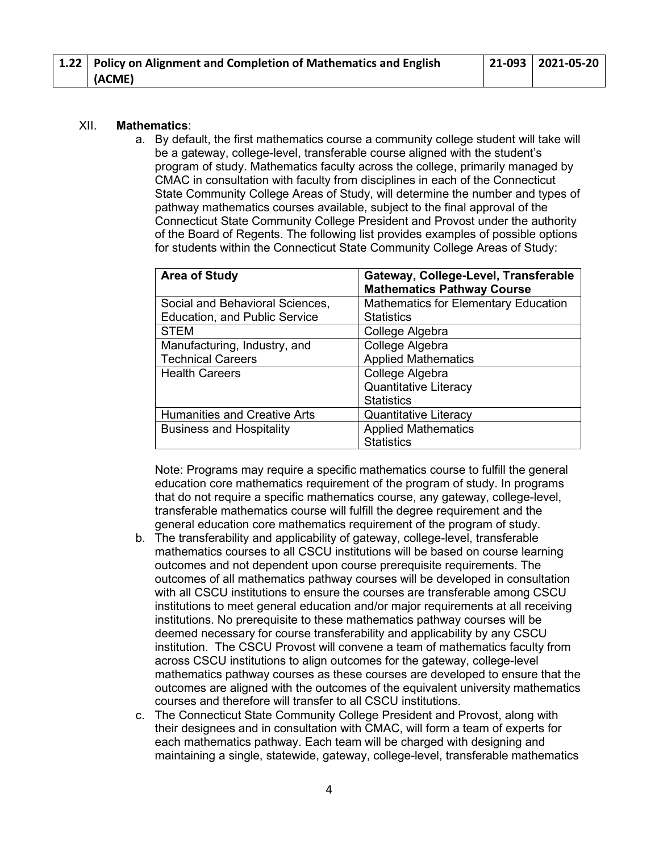| 1.22   Policy on Alignment and Completion of Mathematics and English | $ 21-093 2021-05-20$ |
|----------------------------------------------------------------------|----------------------|
| (ACME)                                                               |                      |

#### XII. **Mathematics**:

a. By default, the first mathematics course a community college student will take will be a gateway, college-level, transferable course aligned with the student's program of study. Mathematics faculty across the college, primarily managed by CMAC in consultation with faculty from disciplines in each of the Connecticut State Community College Areas of Study, will determine the number and types of pathway mathematics courses available, subject to the final approval of the Connecticut State Community College President and Provost under the authority of the Board of Regents. The following list provides examples of possible options for students within the Connecticut State Community College Areas of Study:

| <b>Area of Study</b>                 | Gateway, College-Level, Transferable<br><b>Mathematics Pathway Course</b> |
|--------------------------------------|---------------------------------------------------------------------------|
| Social and Behavioral Sciences,      | <b>Mathematics for Elementary Education</b>                               |
| <b>Education, and Public Service</b> | <b>Statistics</b>                                                         |
| <b>STEM</b>                          | College Algebra                                                           |
| Manufacturing, Industry, and         | College Algebra                                                           |
| <b>Technical Careers</b>             | <b>Applied Mathematics</b>                                                |
| <b>Health Careers</b>                | College Algebra                                                           |
|                                      | <b>Quantitative Literacy</b>                                              |
|                                      | <b>Statistics</b>                                                         |
| <b>Humanities and Creative Arts</b>  | <b>Quantitative Literacy</b>                                              |
| <b>Business and Hospitality</b>      | <b>Applied Mathematics</b>                                                |
|                                      | <b>Statistics</b>                                                         |

Note: Programs may require a specific mathematics course to fulfill the general education core mathematics requirement of the program of study. In programs that do not require a specific mathematics course, any gateway, college-level, transferable mathematics course will fulfill the degree requirement and the general education core mathematics requirement of the program of study.

- b. The transferability and applicability of gateway, college-level, transferable mathematics courses to all CSCU institutions will be based on course learning outcomes and not dependent upon course prerequisite requirements. The outcomes of all mathematics pathway courses will be developed in consultation with all CSCU institutions to ensure the courses are transferable among CSCU institutions to meet general education and/or major requirements at all receiving institutions. No prerequisite to these mathematics pathway courses will be deemed necessary for course transferability and applicability by any CSCU institution. The CSCU Provost will convene a team of mathematics faculty from across CSCU institutions to align outcomes for the gateway, college-level mathematics pathway courses as these courses are developed to ensure that the outcomes are aligned with the outcomes of the equivalent university mathematics courses and therefore will transfer to all CSCU institutions.
- c. The Connecticut State Community College President and Provost, along with their designees and in consultation with CMAC, will form a team of experts for each mathematics pathway. Each team will be charged with designing and maintaining a single, statewide, gateway, college-level, transferable mathematics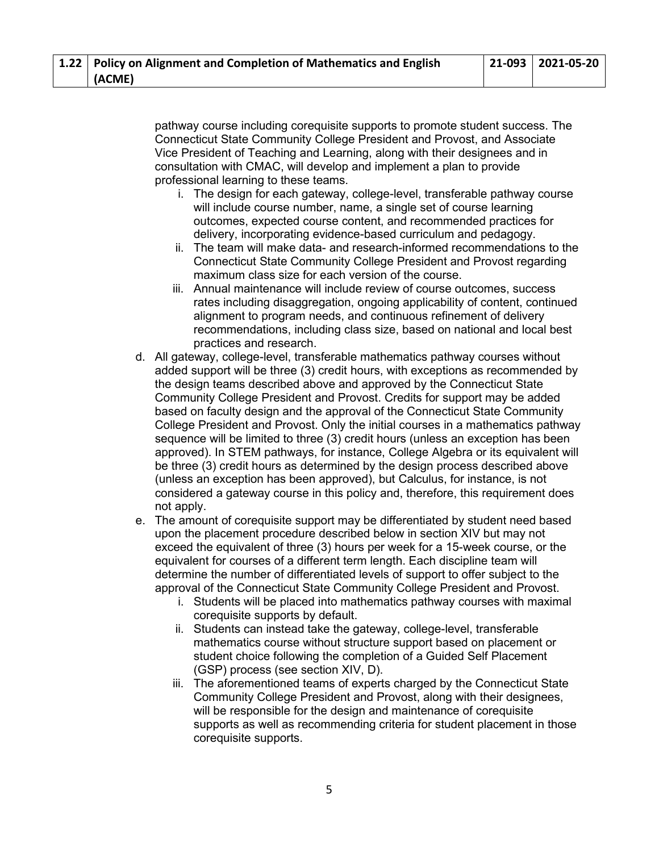pathway course including corequisite supports to promote student success. The Connecticut State Community College President and Provost, and Associate Vice President of Teaching and Learning, along with their designees and in consultation with CMAC, will develop and implement a plan to provide professional learning to these teams.

- i. The design for each gateway, college-level, transferable pathway course will include course number, name, a single set of course learning outcomes, expected course content, and recommended practices for delivery, incorporating evidence-based curriculum and pedagogy.
- ii. The team will make data- and research-informed recommendations to the Connecticut State Community College President and Provost regarding maximum class size for each version of the course.
- iii. Annual maintenance will include review of course outcomes, success rates including disaggregation, ongoing applicability of content, continued alignment to program needs, and continuous refinement of delivery recommendations, including class size, based on national and local best practices and research.
- d. All gateway, college-level, transferable mathematics pathway courses without added support will be three (3) credit hours, with exceptions as recommended by the design teams described above and approved by the Connecticut State Community College President and Provost. Credits for support may be added based on faculty design and the approval of the Connecticut State Community College President and Provost. Only the initial courses in a mathematics pathway sequence will be limited to three (3) credit hours (unless an exception has been approved). In STEM pathways, for instance, College Algebra or its equivalent will be three (3) credit hours as determined by the design process described above (unless an exception has been approved), but Calculus, for instance, is not considered a gateway course in this policy and, therefore, this requirement does not apply.
- e. The amount of corequisite support may be differentiated by student need based upon the placement procedure described below in section XIV but may not exceed the equivalent of three (3) hours per week for a 15-week course, or the equivalent for courses of a different term length. Each discipline team will determine the number of differentiated levels of support to offer subject to the approval of the Connecticut State Community College President and Provost.
	- i. Students will be placed into mathematics pathway courses with maximal corequisite supports by default.
	- ii. Students can instead take the gateway, college-level, transferable mathematics course without structure support based on placement or student choice following the completion of a Guided Self Placement (GSP) process (see section XIV, D).
	- iii. The aforementioned teams of experts charged by the Connecticut State Community College President and Provost, along with their designees, will be responsible for the design and maintenance of corequisite supports as well as recommending criteria for student placement in those corequisite supports.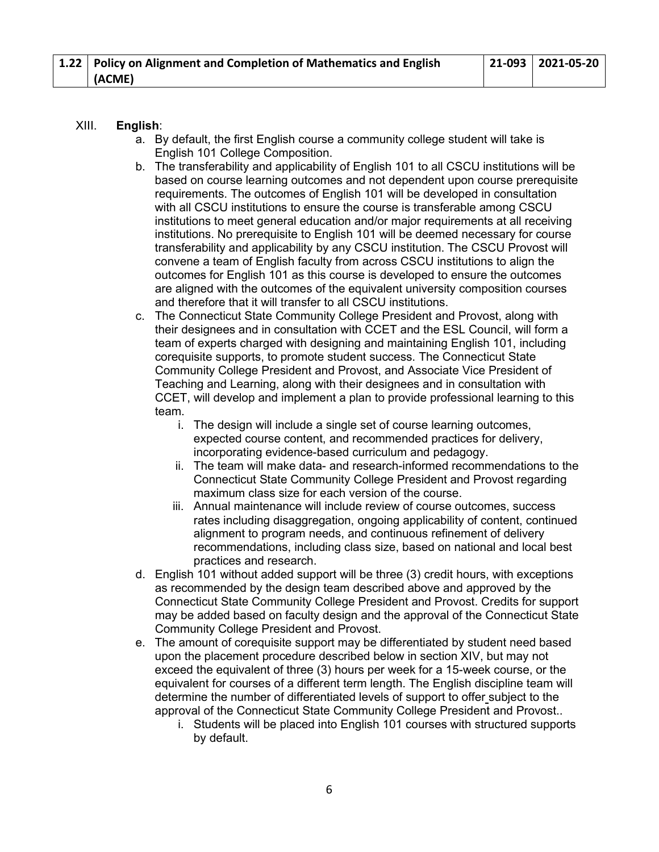# XIII. **English**:

- a. By default, the first English course a community college student will take is English 101 College Composition.
- b. The transferability and applicability of English 101 to all CSCU institutions will be based on course learning outcomes and not dependent upon course prerequisite requirements. The outcomes of English 101 will be developed in consultation with all CSCU institutions to ensure the course is transferable among CSCU institutions to meet general education and/or major requirements at all receiving institutions. No prerequisite to English 101 will be deemed necessary for course transferability and applicability by any CSCU institution. The CSCU Provost will convene a team of English faculty from across CSCU institutions to align the outcomes for English 101 as this course is developed to ensure the outcomes are aligned with the outcomes of the equivalent university composition courses and therefore that it will transfer to all CSCU institutions.
- c. The Connecticut State Community College President and Provost, along with their designees and in consultation with CCET and the ESL Council, will form a team of experts charged with designing and maintaining English 101, including corequisite supports, to promote student success. The Connecticut State Community College President and Provost, and Associate Vice President of Teaching and Learning, along with their designees and in consultation with CCET, will develop and implement a plan to provide professional learning to this team.
	- i. The design will include a single set of course learning outcomes, expected course content, and recommended practices for delivery, incorporating evidence-based curriculum and pedagogy.
	- ii. The team will make data- and research-informed recommendations to the Connecticut State Community College President and Provost regarding maximum class size for each version of the course.
	- iii. Annual maintenance will include review of course outcomes, success rates including disaggregation, ongoing applicability of content, continued alignment to program needs, and continuous refinement of delivery recommendations, including class size, based on national and local best practices and research.
- d. English 101 without added support will be three (3) credit hours, with exceptions as recommended by the design team described above and approved by the Connecticut State Community College President and Provost. Credits for support may be added based on faculty design and the approval of the Connecticut State Community College President and Provost.
- e. The amount of corequisite support may be differentiated by student need based upon the placement procedure described below in section XIV, but may not exceed the equivalent of three (3) hours per week for a 15-week course, or the equivalent for courses of a different term length. The English discipline team will determine the number of differentiated levels of support to offer subject to the approval of the Connecticut State Community College President and Provost..
	- i. Students will be placed into English 101 courses with structured supports by default.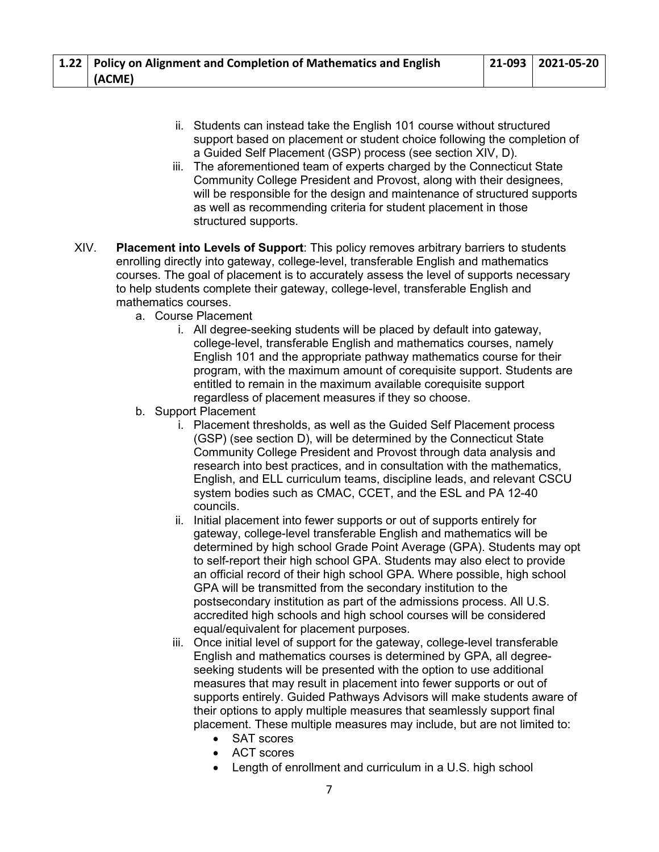| 1.22 Policy on Alignment and Completion of Mathematics and English | $ 21-093 2021-05-20$ |
|--------------------------------------------------------------------|----------------------|
| (ACME)                                                             |                      |

- ii. Students can instead take the English 101 course without structured support based on placement or student choice following the completion of a Guided Self Placement (GSP) process (see section XIV, D).
- iii. The aforementioned team of experts charged by the Connecticut State Community College President and Provost, along with their designees, will be responsible for the design and maintenance of structured supports as well as recommending criteria for student placement in those structured supports.
- XIV. **Placement into Levels of Support**: This policy removes arbitrary barriers to students enrolling directly into gateway, college-level, transferable English and mathematics courses. The goal of placement is to accurately assess the level of supports necessary to help students complete their gateway, college-level, transferable English and mathematics courses.
	- a. Course Placement
		- i. All degree-seeking students will be placed by default into gateway, college-level, transferable English and mathematics courses, namely English 101 and the appropriate pathway mathematics course for their program, with the maximum amount of corequisite support. Students are entitled to remain in the maximum available corequisite support regardless of placement measures if they so choose.
	- b. Support Placement
		- i. Placement thresholds, as well as the Guided Self Placement process (GSP) (see section D), will be determined by the Connecticut State Community College President and Provost through data analysis and research into best practices, and in consultation with the mathematics, English, and ELL curriculum teams, discipline leads, and relevant CSCU system bodies such as CMAC, CCET, and the ESL and PA 12-40 councils.
		- ii. Initial placement into fewer supports or out of supports entirely for gateway, college-level transferable English and mathematics will be determined by high school Grade Point Average (GPA). Students may opt to self-report their high school GPA. Students may also elect to provide an official record of their high school GPA. Where possible, high school GPA will be transmitted from the secondary institution to the postsecondary institution as part of the admissions process. All U.S. accredited high schools and high school courses will be considered equal/equivalent for placement purposes.
		- iii. Once initial level of support for the gateway, college-level transferable English and mathematics courses is determined by GPA, all degreeseeking students will be presented with the option to use additional measures that may result in placement into fewer supports or out of supports entirely. Guided Pathways Advisors will make students aware of their options to apply multiple measures that seamlessly support final placement. These multiple measures may include, but are not limited to:
			- SAT scores
			- ACT scores
			- Length of enrollment and curriculum in a U.S. high school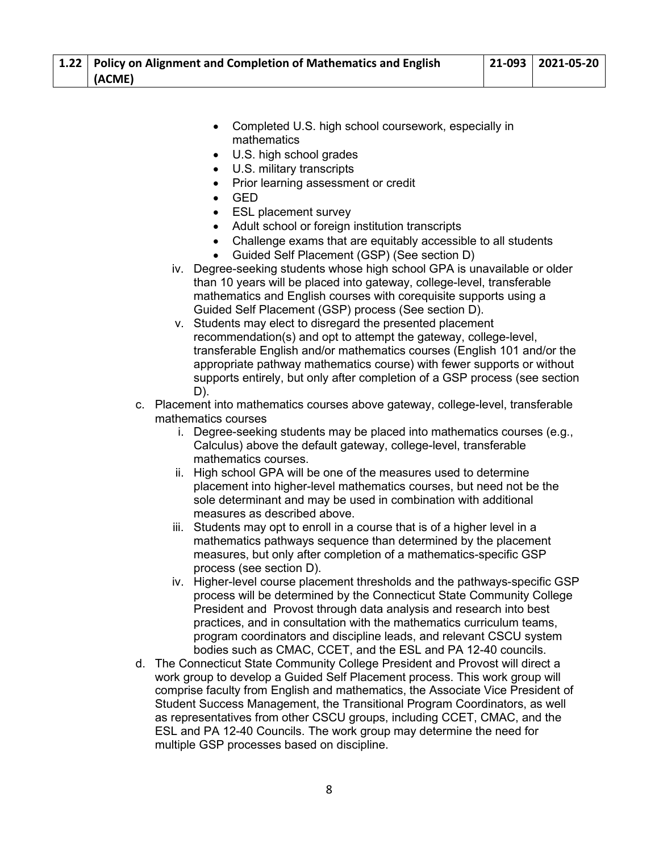| 1.22   Policy on Alignment and Completion of Mathematics and English | $ 21-093 2021-05-20$ |
|----------------------------------------------------------------------|----------------------|
| (ACME)                                                               |                      |

- Completed U.S. high school coursework, especially in mathematics
- U.S. high school grades
- U.S. military transcripts
- Prior learning assessment or credit
- GED
- **ESL placement survey**
- Adult school or foreign institution transcripts
- Challenge exams that are equitably accessible to all students
- Guided Self Placement (GSP) (See section D)
- iv. Degree-seeking students whose high school GPA is unavailable or older than 10 years will be placed into gateway, college-level, transferable mathematics and English courses with corequisite supports using a Guided Self Placement (GSP) process (See section D).
- v. Students may elect to disregard the presented placement recommendation(s) and opt to attempt the gateway, college-level, transferable English and/or mathematics courses (English 101 and/or the appropriate pathway mathematics course) with fewer supports or without supports entirely, but only after completion of a GSP process (see section D).
- c. Placement into mathematics courses above gateway, college-level, transferable mathematics courses
	- i. Degree-seeking students may be placed into mathematics courses (e.g., Calculus) above the default gateway, college-level, transferable mathematics courses.
	- ii. High school GPA will be one of the measures used to determine placement into higher-level mathematics courses, but need not be the sole determinant and may be used in combination with additional measures as described above.
	- iii. Students may opt to enroll in a course that is of a higher level in a mathematics pathways sequence than determined by the placement measures, but only after completion of a mathematics-specific GSP process (see section D).
	- iv. Higher-level course placement thresholds and the pathways-specific GSP process will be determined by the Connecticut State Community College President and Provost through data analysis and research into best practices, and in consultation with the mathematics curriculum teams, program coordinators and discipline leads, and relevant CSCU system bodies such as CMAC, CCET, and the ESL and PA 12-40 councils.
- d. The Connecticut State Community College President and Provost will direct a work group to develop a Guided Self Placement process. This work group will comprise faculty from English and mathematics, the Associate Vice President of Student Success Management, the Transitional Program Coordinators, as well as representatives from other CSCU groups, including CCET, CMAC, and the ESL and PA 12-40 Councils. The work group may determine the need for multiple GSP processes based on discipline.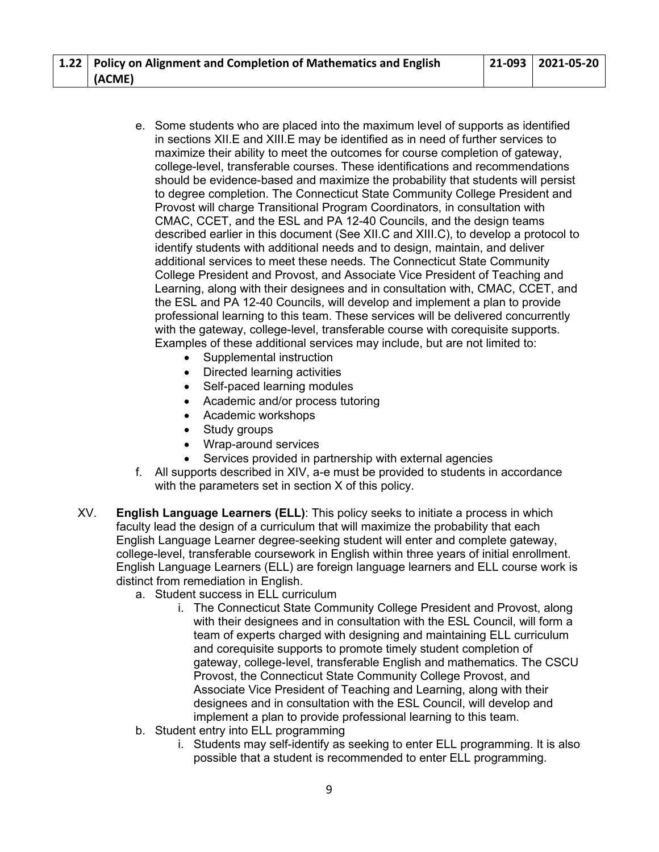| 1.22   Policy on Alignment and Completion of Mathematics and English | $ 21-093 2021-05-20$ |
|----------------------------------------------------------------------|----------------------|
| (ACME)                                                               |                      |

- e. Some students who are placed into the maximum level of supports as identified in sections XII.E and XIII.E may be identified as in need of further services to maximize their ability to meet the outcomes for course completion of gateway, college-level, transferable courses. These identifications and recommendations should be evidence-based and maximize the probability that students will persist to degree completion. The Connecticut State Community College President and Provost will charge Transitional Program Coordinators, in consultation with CMAC, CCET, and the ESL and PA 12-40 Councils, and the design teams described earlier in this document (See XII.C and XIII.C), to develop a protocol to identify students with additional needs and to design, maintain, and deliver additional services to meet these needs. The Connecticut State Community College President and Provost, and Associate Vice President of Teaching and Learning, along with their designees and in consultation with, CMAC, CCET, and the ESL and PA 12-40 Councils, will develop and implement a plan to provide professional learning to this team. These services will be delivered concurrently with the gateway, college-level, transferable course with corequisite supports. Examples of these additional services may include, but are not limited to:
	- Supplemental instruction
	- Directed learning activities
	- Self-paced learning modules
	- Academic and/or process tutoring
	- Academic workshops
	- Study groups
	- Wrap-around services
	- Services provided in partnership with external agencies
- f. All supports described in XIV, a-e must be provided to students in accordance with the parameters set in section X of this policy.
- XV. **English Language Learners (ELL)**: This policy seeks to initiate a process in which faculty lead the design of a curriculum that will maximize the probability that each English Language Learner degree-seeking student will enter and complete gateway, college-level, transferable coursework in English within three years of initial enrollment. English Language Learners (ELL) are foreign language learners and ELL course work is distinct from remediation in English.
	- a. Student success in ELL curriculum
		- i. The Connecticut State Community College President and Provost, along with their designees and in consultation with the ESL Council, will form a team of experts charged with designing and maintaining ELL curriculum and corequisite supports to promote timely student completion of gateway, college-level, transferable English and mathematics. The CSCU Provost, the Connecticut State Community College Provost, and Associate Vice President of Teaching and Learning, along with their designees and in consultation with the ESL Council, will develop and implement a plan to provide professional learning to this team.
	- b. Student entry into ELL programming
		- i. Students may self-identify as seeking to enter ELL programming. It is also possible that a student is recommended to enter ELL programming.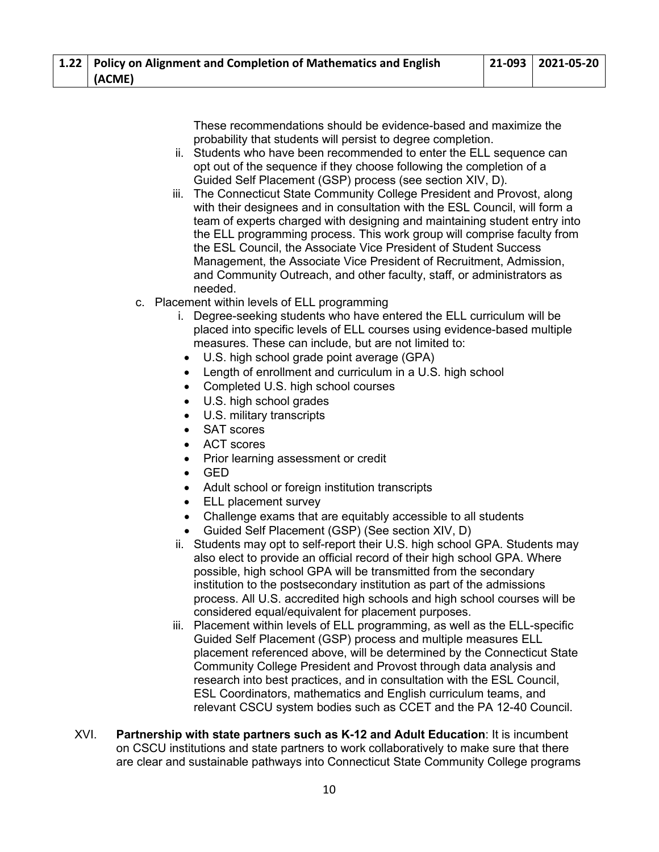These recommendations should be evidence-based and maximize the probability that students will persist to degree completion.

- ii. Students who have been recommended to enter the ELL sequence can opt out of the sequence if they choose following the completion of a Guided Self Placement (GSP) process (see section XIV, D).
- iii. The Connecticut State Community College President and Provost, along with their designees and in consultation with the ESL Council, will form a team of experts charged with designing and maintaining student entry into the ELL programming process. This work group will comprise faculty from the ESL Council, the Associate Vice President of Student Success Management, the Associate Vice President of Recruitment, Admission, and Community Outreach, and other faculty, staff, or administrators as needed.
- c. Placement within levels of ELL programming
	- i. Degree-seeking students who have entered the ELL curriculum will be placed into specific levels of ELL courses using evidence-based multiple measures. These can include, but are not limited to:
		- U.S. high school grade point average (GPA)
	- Length of enrollment and curriculum in a U.S. high school
	- Completed U.S. high school courses
	- U.S. high school grades
	- U.S. military transcripts
	- SAT scores
	- ACT scores
	- Prior learning assessment or credit
	- GED
	- Adult school or foreign institution transcripts
	- ELL placement survey
	- Challenge exams that are equitably accessible to all students
	- Guided Self Placement (GSP) (See section XIV, D)
	- ii. Students may opt to self-report their U.S. high school GPA. Students may also elect to provide an official record of their high school GPA. Where possible, high school GPA will be transmitted from the secondary institution to the postsecondary institution as part of the admissions process. All U.S. accredited high schools and high school courses will be considered equal/equivalent for placement purposes.
	- iii. Placement within levels of ELL programming, as well as the ELL-specific Guided Self Placement (GSP) process and multiple measures ELL placement referenced above, will be determined by the Connecticut State Community College President and Provost through data analysis and research into best practices, and in consultation with the ESL Council, ESL Coordinators, mathematics and English curriculum teams, and relevant CSCU system bodies such as CCET and the PA 12-40 Council.
- XVI. **Partnership with state partners such as K-12 and Adult Education**: It is incumbent on CSCU institutions and state partners to work collaboratively to make sure that there are clear and sustainable pathways into Connecticut State Community College programs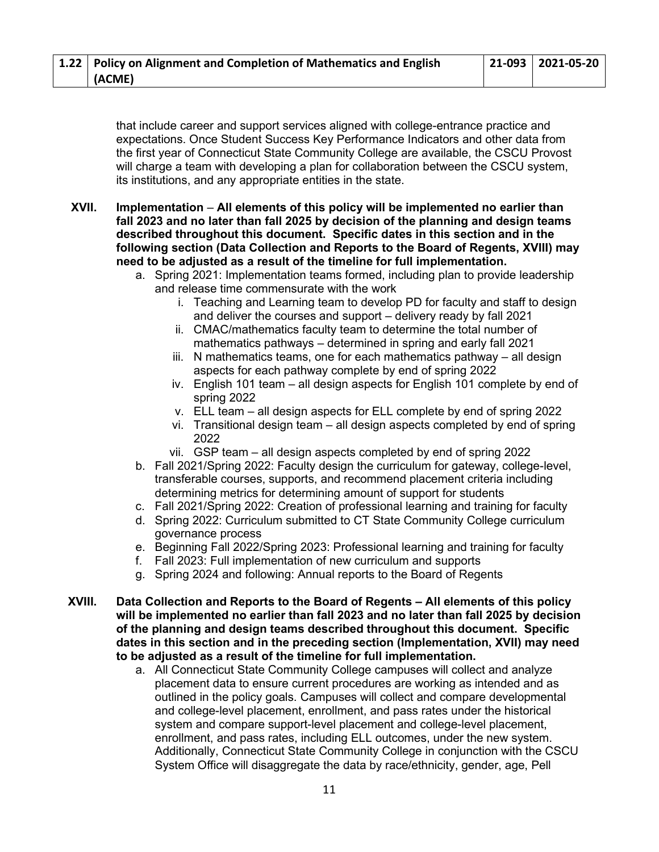| 1.22   Policy on Alignment and Completion of Mathematics and English | $ 21-093 2021-05-20$ |
|----------------------------------------------------------------------|----------------------|
| (ACME)                                                               |                      |

that include career and support services aligned with college-entrance practice and expectations. Once Student Success Key Performance Indicators and other data from the first year of Connecticut State Community College are available, the CSCU Provost will charge a team with developing a plan for collaboration between the CSCU system, its institutions, and any appropriate entities in the state.

**XVII. Implementation** – **All elements of this policy will be implemented no earlier than fall 2023 and no later than fall 2025 by decision of the planning and design teams described throughout this document. Specific dates in this section and in the following section (Data Collection and Reports to the Board of Regents, XVIII) may need to be adjusted as a result of the timeline for full implementation.** 

- a. Spring 2021: Implementation teams formed, including plan to provide leadership and release time commensurate with the work
	- i. Teaching and Learning team to develop PD for faculty and staff to design and deliver the courses and support – delivery ready by fall 2021
	- ii. CMAC/mathematics faculty team to determine the total number of mathematics pathways – determined in spring and early fall 2021
	- iii. N mathematics teams, one for each mathematics pathway all design aspects for each pathway complete by end of spring 2022
	- iv. English 101 team all design aspects for English 101 complete by end of spring 2022
	- v. ELL team all design aspects for ELL complete by end of spring 2022
	- vi. Transitional design team all design aspects completed by end of spring 2022
	- vii. GSP team all design aspects completed by end of spring 2022
- b. Fall 2021/Spring 2022: Faculty design the curriculum for gateway, college-level, transferable courses, supports, and recommend placement criteria including determining metrics for determining amount of support for students
- c. Fall 2021/Spring 2022: Creation of professional learning and training for faculty
- d. Spring 2022: Curriculum submitted to CT State Community College curriculum governance process
- e. Beginning Fall 2022/Spring 2023: Professional learning and training for faculty
- f. Fall 2023: Full implementation of new curriculum and supports
- g. Spring 2024 and following: Annual reports to the Board of Regents
- **XVIII. Data Collection and Reports to the Board of Regents – All elements of this policy will be implemented no earlier than fall 2023 and no later than fall 2025 by decision of the planning and design teams described throughout this document. Specific dates in this section and in the preceding section (Implementation, XVII) may need to be adjusted as a result of the timeline for full implementation.** 
	- a. All Connecticut State Community College campuses will collect and analyze placement data to ensure current procedures are working as intended and as outlined in the policy goals. Campuses will collect and compare developmental and college-level placement, enrollment, and pass rates under the historical system and compare support-level placement and college-level placement, enrollment, and pass rates, including ELL outcomes, under the new system. Additionally, Connecticut State Community College in conjunction with the CSCU System Office will disaggregate the data by race/ethnicity, gender, age, Pell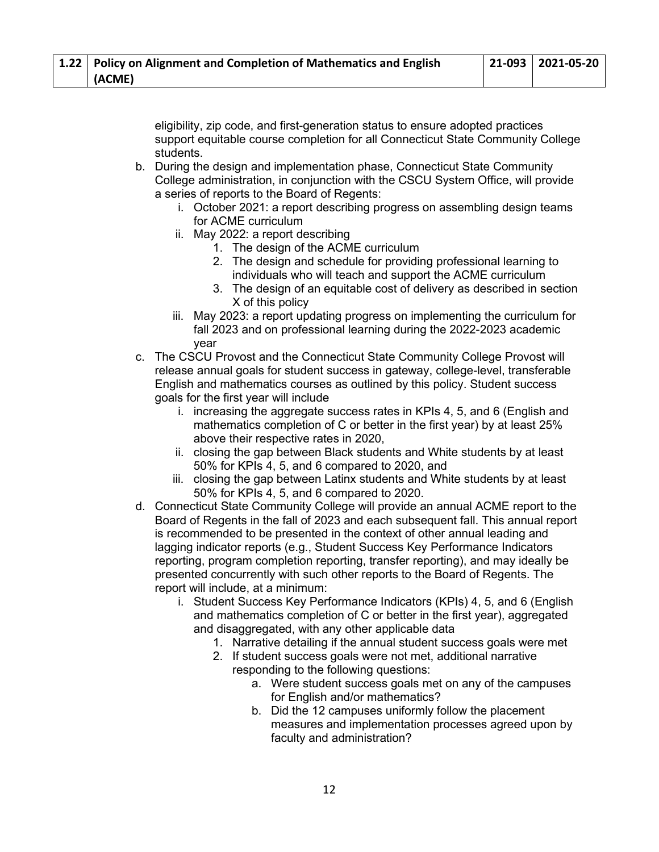eligibility, zip code, and first-generation status to ensure adopted practices support equitable course completion for all Connecticut State Community College students.

- b. During the design and implementation phase, Connecticut State Community College administration, in conjunction with the CSCU System Office, will provide a series of reports to the Board of Regents:
	- i. October 2021: a report describing progress on assembling design teams for ACME curriculum
	- ii. May 2022: a report describing
		- 1. The design of the ACME curriculum
		- 2. The design and schedule for providing professional learning to individuals who will teach and support the ACME curriculum
		- 3. The design of an equitable cost of delivery as described in section X of this policy
	- iii. May 2023: a report updating progress on implementing the curriculum for fall 2023 and on professional learning during the 2022-2023 academic year
- c. The CSCU Provost and the Connecticut State Community College Provost will release annual goals for student success in gateway, college-level, transferable English and mathematics courses as outlined by this policy. Student success goals for the first year will include
	- i. increasing the aggregate success rates in KPIs 4, 5, and 6 (English and mathematics completion of C or better in the first year) by at least 25% above their respective rates in 2020,
	- ii. closing the gap between Black students and White students by at least 50% for KPIs 4, 5, and 6 compared to 2020, and
	- iii. closing the gap between Latinx students and White students by at least 50% for KPIs 4, 5, and 6 compared to 2020.
- d. Connecticut State Community College will provide an annual ACME report to the Board of Regents in the fall of 2023 and each subsequent fall. This annual report is recommended to be presented in the context of other annual leading and lagging indicator reports (e.g., Student Success Key Performance Indicators reporting, program completion reporting, transfer reporting), and may ideally be presented concurrently with such other reports to the Board of Regents. The report will include, at a minimum:
	- i. Student Success Key Performance Indicators (KPIs) 4, 5, and 6 (English and mathematics completion of C or better in the first year), aggregated and disaggregated, with any other applicable data
		- 1. Narrative detailing if the annual student success goals were met
		- 2. If student success goals were not met, additional narrative responding to the following questions:
			- a. Were student success goals met on any of the campuses for English and/or mathematics?
			- b. Did the 12 campuses uniformly follow the placement measures and implementation processes agreed upon by faculty and administration?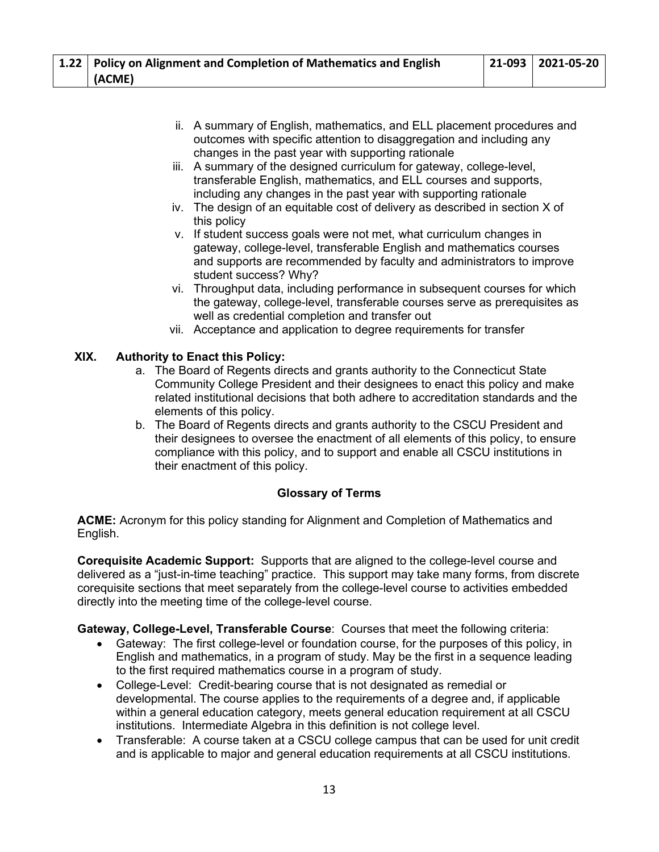| 1.22 Policy on Alignment and Completion of Mathematics and English | $ 21-093 2021-05-20$ |
|--------------------------------------------------------------------|----------------------|
| (ACME)                                                             |                      |

- ii. A summary of English, mathematics, and ELL placement procedures and outcomes with specific attention to disaggregation and including any changes in the past year with supporting rationale
- iii. A summary of the designed curriculum for gateway, college-level, transferable English, mathematics, and ELL courses and supports, including any changes in the past year with supporting rationale
- iv. The design of an equitable cost of delivery as described in section X of this policy
- v. If student success goals were not met, what curriculum changes in gateway, college-level, transferable English and mathematics courses and supports are recommended by faculty and administrators to improve student success? Why?
- vi. Throughput data, including performance in subsequent courses for which the gateway, college-level, transferable courses serve as prerequisites as well as credential completion and transfer out
- vii. Acceptance and application to degree requirements for transfer

# **XIX. Authority to Enact this Policy:**

- a. The Board of Regents directs and grants authority to the Connecticut State Community College President and their designees to enact this policy and make related institutional decisions that both adhere to accreditation standards and the elements of this policy.
- b. The Board of Regents directs and grants authority to the CSCU President and their designees to oversee the enactment of all elements of this policy, to ensure compliance with this policy, and to support and enable all CSCU institutions in their enactment of this policy.

## **Glossary of Terms**

**ACME:** Acronym for this policy standing for Alignment and Completion of Mathematics and English.

**Corequisite Academic Support:** Supports that are aligned to the college-level course and delivered as a "just-in-time teaching" practice. This support may take many forms, from discrete corequisite sections that meet separately from the college-level course to activities embedded directly into the meeting time of the college-level course.

**Gateway, College-Level, Transferable Course**: Courses that meet the following criteria:

- Gateway: The first college-level or foundation course, for the purposes of this policy, in English and mathematics, in a program of study. May be the first in a sequence leading to the first required mathematics course in a program of study.
- College-Level: Credit-bearing course that is not designated as remedial or developmental. The course applies to the requirements of a degree and, if applicable within a general education category, meets general education requirement at all CSCU institutions. Intermediate Algebra in this definition is not college level.
- Transferable: A course taken at a CSCU college campus that can be used for unit credit and is applicable to major and general education requirements at all CSCU institutions.